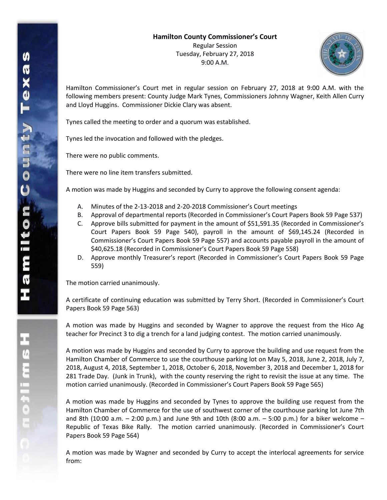

Hamilton Commissioner's Court met in regular session on February 27, 2018 at 9:00 A.M. with the following members present: County Judge Mark Tynes, Commissioners Johnny Wagner, Keith Allen Curry and Lloyd Huggins. Commissioner Dickie Clary was absent.

Tynes called the meeting to order and a quorum was established.

Tynes led the invocation and followed with the pledges.

There were no public comments.

There were no line item transfers submitted.

A motion was made by Huggins and seconded by Curry to approve the following consent agenda:

- A. Minutes of the 2-13-2018 and 2-20-2018 Commissioner's Court meetings
- B. Approval of departmental reports (Recorded in Commissioner's Court Papers Book 59 Page 537)
- C. Approve bills submitted for payment in the amount of \$51,591.35 (Recorded in Commissioner's Court Papers Book 59 Page 540), payroll in the amount of \$69,145.24 (Recorded in Commissioner's Court Papers Book 59 Page 557) and accounts payable payroll in the amount of \$40,625.18 (Recorded in Commissioner's Court Papers Book 59 Page 558)
- D. Approve monthly Treasurer's report (Recorded in Commissioner's Court Papers Book 59 Page 559)

The motion carried unanimously.

A certificate of continuing education was submitted by Terry Short. (Recorded in Commissioner's Court Papers Book 59 Page 563)

A motion was made by Huggins and seconded by Wagner to approve the request from the Hico Ag teacher for Precinct 3 to dig a trench for a land judging contest. The motion carried unanimously.

A motion was made by Huggins and seconded by Curry to approve the building and use request from the Hamilton Chamber of Commerce to use the courthouse parking lot on May 5, 2018, June 2, 2018, July 7, 2018, August 4, 2018, September 1, 2018, October 6, 2018, November 3, 2018 and December 1, 2018 for 281 Trade Day. (Junk in Trunk), with the county reserving the right to revisit the issue at any time. The motion carried unanimously. (Recorded in Commissioner's Court Papers Book 59 Page 565)

A motion was made by Huggins and seconded by Tynes to approve the building use request from the Hamilton Chamber of Commerce for the use of southwest corner of the courthouse parking lot June 7th and 8th (10:00 a.m. – 2:00 p.m.) and June 9th and 10th (8:00 a.m. – 5:00 p.m.) for a biker welcome – Republic of Texas Bike Rally. The motion carried unanimously. (Recorded in Commissioner's Court Papers Book 59 Page 564)

A motion was made by Wagner and seconded by Curry to accept the interlocal agreements for service from: